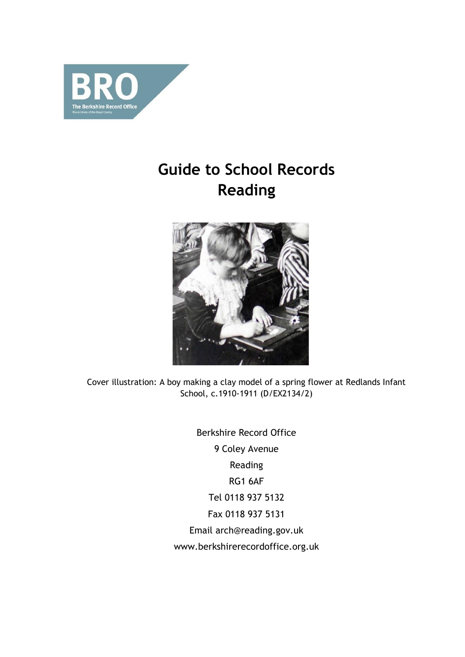

# **Guide to School Records Reading**



Cover illustration: A boy making a clay model of a spring flower at Redlands Infant School, c.1910-1911 (D/EX2134/2)

> Berkshire Record Office 9 Coley Avenue Reading RG1 6AF Tel 0118 937 5132 Fax 0118 937 5131 Email arch@reading.gov.uk www.berkshirerecordoffice.org.uk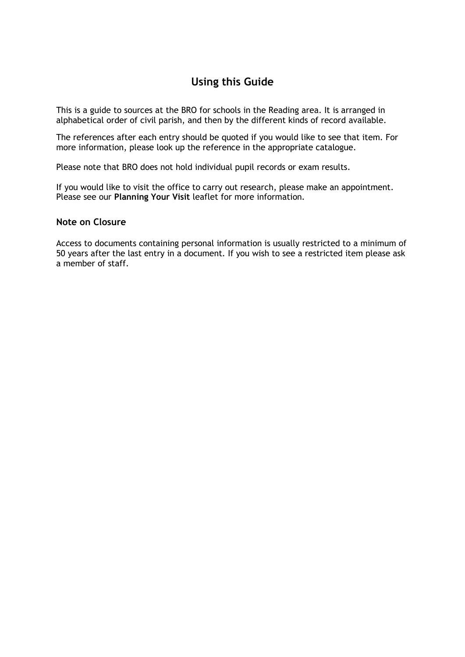## **Using this Guide**

This is a guide to sources at the BRO for schools in the Reading area. It is arranged in alphabetical order of civil parish, and then by the different kinds of record available.

The references after each entry should be quoted if you would like to see that item. For more information, please look up the reference in the appropriate catalogue.

Please note that BRO does not hold individual pupil records or exam results.

If you would like to visit the office to carry out research, please make an appointment. Please see our **Planning Your Visit** leaflet for more information*.*

## **Note on Closure**

Access to documents containing personal information is usually restricted to a minimum of 50 years after the last entry in a document. If you wish to see a restricted item please ask a member of staff.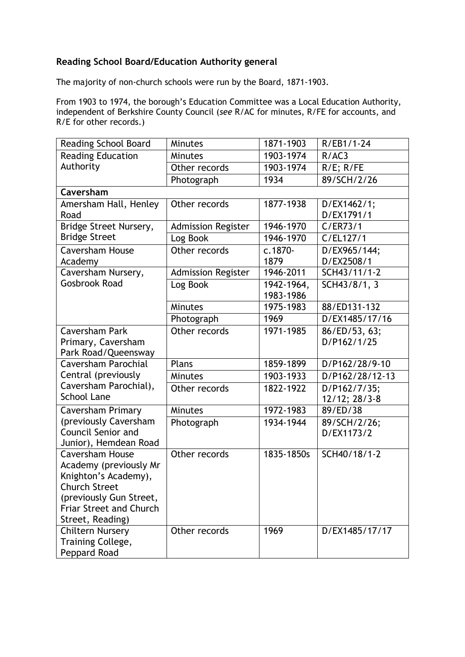## **Reading School Board/Education Authority general**

The majority of non-church schools were run by the Board, 1871-1903.

From 1903 to 1974, the borough's Education Committee was a Local Education Authority, independent of Berkshire County Council (*see* R/AC for minutes, R/FE for accounts, and R/E for other records.)

| Reading School Board                             | <b>Minutes</b>            | 1871-1903               | R/EB1/1-24                |
|--------------------------------------------------|---------------------------|-------------------------|---------------------------|
| <b>Reading Education</b>                         | <b>Minutes</b>            | 1903-1974               | R/AC3                     |
| Authority                                        | Other records             | 1903-1974               | $R/E$ ; $R/FE$            |
|                                                  | Photograph                | 1934                    | 89/SCH/2/26               |
| Caversham                                        |                           |                         |                           |
| Amersham Hall, Henley<br>Road                    | Other records             | 1877-1938               | D/EX1462/1;<br>D/EX1791/1 |
|                                                  |                           | 1946-1970               | C/ER73/1                  |
| Bridge Street Nursery,<br><b>Bridge Street</b>   | <b>Admission Register</b> |                         |                           |
|                                                  | Log Book                  | 1946-1970               | C/EL127/1                 |
| <b>Caversham House</b>                           | Other records             | c.1870-                 | D/EX965/144;              |
| Academy                                          |                           | 1879                    | D/EX2508/1                |
| Caversham Nursery,<br><b>Gosbrook Road</b>       | <b>Admission Register</b> | 1946-2011               | SCH43/11/1-2              |
|                                                  | Log Book                  | 1942-1964,<br>1983-1986 | SCH43/8/1, 3              |
|                                                  | <b>Minutes</b>            | 1975-1983               | 88/ED131-132              |
|                                                  | Photograph                | 1969                    | D/EX1485/17/16            |
| <b>Caversham Park</b>                            | Other records             | 1971-1985               | 86/ED/53, 63;             |
| Primary, Caversham                               |                           |                         | D/P162/1/25               |
| Park Road/Queensway                              |                           |                         |                           |
| <b>Caversham Parochial</b>                       | Plans                     | 1859-1899               | D/P162/28/9-10            |
| Central (previously                              | <b>Minutes</b>            | 1903-1933               | D/P162/28/12-13           |
| Caversham Parochial),                            | Other records             | 1822-1922               | D/P162/7/35;              |
| <b>School Lane</b>                               |                           |                         | 12/12; 28/3-8             |
| <b>Caversham Primary</b>                         | <b>Minutes</b>            | 1972-1983               | 89/ED/38                  |
| (previously Caversham                            | Photograph                | 1934-1944               | 89/SCH/2/26;              |
| <b>Council Senior and</b>                        |                           |                         | D/EX1173/2                |
| Junior), Hemdean Road                            |                           |                         |                           |
| <b>Caversham House</b><br>Academy (previously Mr | Other records             | 1835-1850s              | SCH40/18/1-2              |
| Knighton's Academy),                             |                           |                         |                           |
| <b>Church Street</b>                             |                           |                         |                           |
| (previously Gun Street,                          |                           |                         |                           |
| <b>Friar Street and Church</b>                   |                           |                         |                           |
| Street, Reading)                                 |                           |                         |                           |
| <b>Chiltern Nursery</b>                          | Other records             | 1969                    | D/EX1485/17/17            |
| Training College,                                |                           |                         |                           |
| Peppard Road                                     |                           |                         |                           |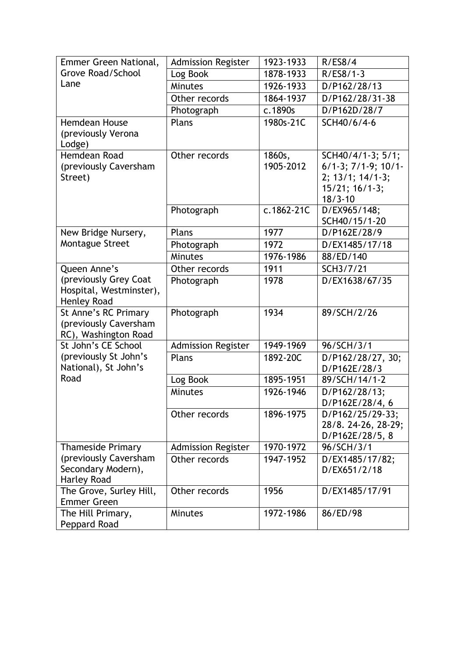| Emmer Green National,                                                  | <b>Admission Register</b> | 1923-1933           | R/ES8/4                                                                                                 |
|------------------------------------------------------------------------|---------------------------|---------------------|---------------------------------------------------------------------------------------------------------|
| Grove Road/School                                                      | Log Book                  | 1878-1933           | $R/ES8/1-3$                                                                                             |
| Lane                                                                   | <b>Minutes</b>            | 1926-1933           | D/P162/28/13                                                                                            |
|                                                                        | Other records             | 1864-1937           | D/P162/28/31-38                                                                                         |
|                                                                        | Photograph                | c.1890s             | D/P162D/28/7                                                                                            |
| <b>Hemdean House</b><br>(previously Verona<br>Lodge)                   | Plans                     | 1980s-21C           | SCH40/6/4-6                                                                                             |
| Hemdean Road<br>(previously Caversham<br>Street)                       | Other records             | 1860s,<br>1905-2012 | SCH40/4/1-3; 5/1;<br>$6/1-3$ ; $7/1-9$ ; $10/1-$<br>$2; 13/1; 14/1-3;$<br>15/21; 16/1-3;<br>$18/3 - 10$ |
|                                                                        | Photograph                | c.1862-21C          | D/EX965/148;<br>SCH40/15/1-20                                                                           |
| New Bridge Nursery,                                                    | Plans                     | 1977                | D/P162E/28/9                                                                                            |
| Montague Street                                                        | Photograph                | 1972                | D/EX1485/17/18                                                                                          |
|                                                                        | <b>Minutes</b>            | 1976-1986           | 88/ED/140                                                                                               |
| Queen Anne's                                                           | Other records             | 1911                | SCH3/7/21                                                                                               |
| (previously Grey Coat<br>Hospital, Westminster),<br><b>Henley Road</b> | Photograph                | 1978                | D/EX1638/67/35                                                                                          |
| St Anne's RC Primary<br>(previously Caversham<br>RC), Washington Road  | Photograph                | 1934                | 89/SCH/2/26                                                                                             |
| St John's CE School                                                    | <b>Admission Register</b> | 1949-1969           | 96/SCH/3/1                                                                                              |
| (previously St John's<br>National), St John's                          | Plans                     | 1892-20C            | D/P162/28/27, 30;<br>D/P162E/28/3                                                                       |
| Road                                                                   | Log Book                  | 1895-1951           | 89/SCH/14/1-2                                                                                           |
|                                                                        | Minutes                   | 1926-1946           | D/P162/28/13;<br>D/P162E/28/4, 6                                                                        |
|                                                                        | Other records             | 1896-1975           | D/P162/25/29-33;<br>28/8. 24-26, 28-29;<br>D/P162E/28/5, 8                                              |
| <b>Thameside Primary</b>                                               | <b>Admission Register</b> | 1970-1972           | 96/SCH/3/1                                                                                              |
| (previously Caversham<br>Secondary Modern),<br><b>Harley Road</b>      | Other records             | 1947-1952           | D/EX1485/17/82;<br>D/EX651/2/18                                                                         |
| The Grove, Surley Hill,<br><b>Emmer Green</b>                          | Other records             | 1956                | D/EX1485/17/91                                                                                          |
| The Hill Primary,<br>Peppard Road                                      | Minutes                   | 1972-1986           | 86/ED/98                                                                                                |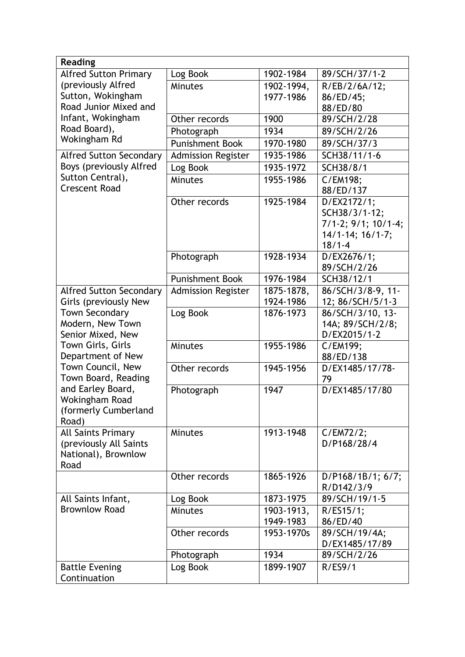| <b>Reading</b>                            |                           |            |                                  |
|-------------------------------------------|---------------------------|------------|----------------------------------|
| <b>Alfred Sutton Primary</b>              | Log Book                  | 1902-1984  | 89/SCH/37/1-2                    |
| (previously Alfred                        | <b>Minutes</b>            | 1902-1994, | R/EB/2/6A/12;                    |
| Sutton, Wokingham                         |                           | 1977-1986  | 86/ED/45;                        |
| Road Junior Mixed and                     |                           |            | 88/ED/80                         |
| Infant, Wokingham                         | Other records             | 1900       | 89/SCH/2/28                      |
| Road Board),                              | Photograph                | 1934       | 89/SCH/2/26                      |
| Wokingham Rd                              | <b>Punishment Book</b>    | 1970-1980  | 89/SCH/37/3                      |
| <b>Alfred Sutton Secondary</b>            | <b>Admission Register</b> | 1935-1986  | SCH38/11/1-6                     |
| Boys (previously Alfred                   | Log Book                  | 1935-1972  | SCH38/8/1                        |
| Sutton Central),                          | <b>Minutes</b>            | 1955-1986  | C/EM198;                         |
| <b>Crescent Road</b>                      |                           |            | 88/ED/137                        |
|                                           | Other records             | 1925-1984  | D/EX2172/1;                      |
|                                           |                           |            | SCH38/3/1-12;                    |
|                                           |                           |            | 7/1-2; 9/1; 10/1-4;              |
|                                           |                           |            | 14/1-14; 16/1-7;                 |
|                                           |                           |            | $18/1 - 4$                       |
|                                           | Photograph                | 1928-1934  | D/EX2676/1;                      |
|                                           |                           |            | 89/SCH/2/26                      |
|                                           | <b>Punishment Book</b>    | 1976-1984  | SCH38/12/1                       |
| <b>Alfred Sutton Secondary</b>            | <b>Admission Register</b> | 1875-1878, | 86/SCH/3/8-9, 11-                |
| Girls (previously New                     |                           | 1924-1986  | 12; 86/SCH/5/1-3                 |
| <b>Town Secondary</b><br>Modern, New Town | Log Book                  | 1876-1973  | 86/SCH/3/10, 13-                 |
| Senior Mixed, New                         |                           |            | 14A; 89/SCH/2/8;<br>D/EX2015/1-2 |
| Town Girls, Girls                         | <b>Minutes</b>            | 1955-1986  | C/EM199;                         |
| Department of New                         |                           |            | 88/ED/138                        |
| Town Council, New                         | Other records             | 1945-1956  | D/EX1485/17/78-                  |
| Town Board, Reading                       |                           |            | 79                               |
| and Earley Board,                         | Photograph                | 1947       | D/EX1485/17/80                   |
| <b>Wokingham Road</b>                     |                           |            |                                  |
| (formerly Cumberland                      |                           |            |                                  |
| Road)                                     |                           |            |                                  |
| <b>All Saints Primary</b>                 | Minutes                   | 1913-1948  | C/EM72/2;                        |
| (previously All Saints                    |                           |            | D/P168/28/4                      |
| National), Brownlow<br>Road               |                           |            |                                  |
|                                           | Other records             | 1865-1926  | D/P168/1B/1; 6/7;                |
|                                           |                           |            | R/D142/3/9                       |
| All Saints Infant,                        | Log Book                  | 1873-1975  | 89/SCH/19/1-5                    |
| <b>Brownlow Road</b>                      | <b>Minutes</b>            | 1903-1913, | R/ES15/1;                        |
|                                           |                           | 1949-1983  | 86/ED/40                         |
|                                           | Other records             | 1953-1970s | 89/SCH/19/4A;                    |
|                                           |                           |            | D/EX1485/17/89                   |
|                                           | Photograph                | 1934       | 89/SCH/2/26                      |
| <b>Battle Evening</b>                     | Log Book                  | 1899-1907  | R/ES9/1                          |
| Continuation                              |                           |            |                                  |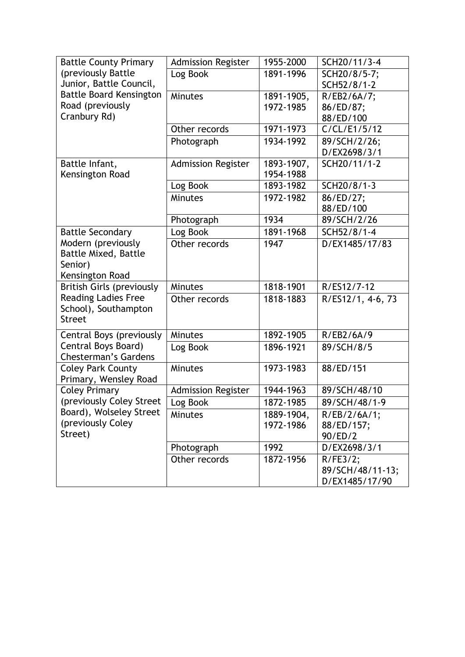| <b>Battle County Primary</b>                      | <b>Admission Register</b> | 1955-2000  | SCH20/11/3-4      |
|---------------------------------------------------|---------------------------|------------|-------------------|
| (previously Battle                                | Log Book                  | 1891-1996  | SCH20/8/5-7;      |
| Junior, Battle Council,                           |                           |            | SCH52/8/1-2       |
| <b>Battle Board Kensington</b>                    | Minutes                   | 1891-1905, | R/EB2/6A/7;       |
| Road (previously                                  |                           | 1972-1985  | 86/ED/87;         |
| Cranbury Rd)                                      |                           |            | 88/ED/100         |
|                                                   | Other records             | 1971-1973  | C/CL/E1/5/12      |
|                                                   | Photograph                | 1934-1992  | 89/SCH/2/26;      |
|                                                   |                           |            | D/EX2698/3/1      |
| Battle Infant,                                    | <b>Admission Register</b> | 1893-1907, | SCH20/11/1-2      |
| Kensington Road                                   |                           | 1954-1988  |                   |
|                                                   | Log Book                  | 1893-1982  | SCH20/8/1-3       |
|                                                   | <b>Minutes</b>            | 1972-1982  | 86/ED/27;         |
|                                                   |                           |            | 88/ED/100         |
|                                                   | Photograph                | 1934       | 89/SCH/2/26       |
| <b>Battle Secondary</b>                           | Log Book                  | 1891-1968  | SCH52/8/1-4       |
| Modern (previously                                | Other records             | 1947       | D/EX1485/17/83    |
| <b>Battle Mixed, Battle</b>                       |                           |            |                   |
| Senior)                                           |                           |            |                   |
| Kensington Road                                   |                           |            |                   |
| <b>British Girls (previously</b>                  | <b>Minutes</b>            | 1818-1901  | R/ES12/7-12       |
| Reading Ladies Free<br>School), Southampton       | Other records             | 1818-1883  | R/ES12/1, 4-6, 73 |
| <b>Street</b>                                     |                           |            |                   |
|                                                   |                           |            |                   |
| Central Boys (previously                          | Minutes                   | 1892-1905  | R/EB2/6A/9        |
| Central Boys Board)                               | Log Book                  | 1896-1921  | 89/SCH/8/5        |
| <b>Chesterman's Gardens</b>                       |                           |            |                   |
| <b>Coley Park County</b><br>Primary, Wensley Road | Minutes                   | 1973-1983  | 88/ED/151         |
| <b>Coley Primary</b>                              | <b>Admission Register</b> | 1944-1963  | 89/SCH/48/10      |
| (previously Coley Street                          | og Book                   | 1872-1985  | 89/SCH/48/1-9     |
| Board), Wolseley Street                           | <b>Minutes</b>            | 1889-1904, | R/EB/2/6A/1;      |
| (previously Coley                                 |                           | 1972-1986  | 88/ED/157;        |
| Street)                                           |                           |            | 90/ED/2           |
|                                                   | Photograph                | 1992       | D/EX2698/3/1      |
|                                                   | Other records             | 1872-1956  | R/FE3/2;          |
|                                                   |                           |            | 89/SCH/48/11-13;  |
|                                                   |                           |            | D/EX1485/17/90    |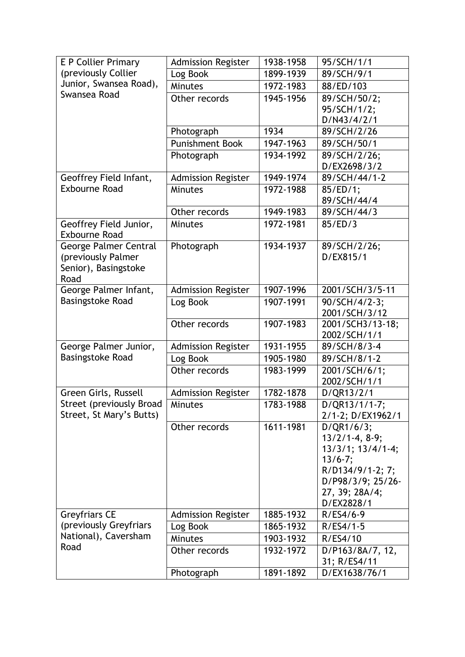| (previously Collier<br>1899-1939<br>89/SCH/9/1<br>Log Book<br>Junior, Swansea Road),<br>Minutes<br>1972-1983<br>88/ED/103<br>Swansea Road<br>1945-1956<br>89/SCH/50/2;<br>Other records<br>95/SCH/1/2;<br>D/N43/4/2/1<br>1934<br>89/SCH/2/26<br>Photograph<br><b>Punishment Book</b><br>1947-1963<br>89/SCH/50/1<br>89/SCH/2/26;<br>1934-1992<br>Photograph<br>D/EX2698/3/2<br>1949-1974<br>Geoffrey Field Infant,<br><b>Admission Register</b><br>89/SCH/44/1-2<br><b>Exbourne Road</b><br><b>Minutes</b><br>1972-1988<br>85/ED/1;<br>89/SCH/44/4<br>1949-1983<br>Other records<br>89/SCH/44/3<br>Geoffrey Field Junior,<br>1972-1981<br><b>Minutes</b><br>85/ED/3<br><b>Exbourne Road</b><br>George Palmer Central<br>1934-1937<br>Photograph<br>89/SCH/2/26;<br>(previously Palmer<br>D/EX815/1<br>Senior), Basingstoke<br>Road<br>George Palmer Infant,<br>1907-1996<br><b>Admission Register</b><br>2001/SCH/3/5-11<br><b>Basingstoke Road</b><br>1907-1991<br>90/SCH/4/2-3;<br>Log Book<br>2001/SCH/3/12<br>1907-1983<br>2001/SCH3/13-18;<br>Other records<br>2002/SCH/1/1<br>George Palmer Junior,<br>1931-1955<br><b>Admission Register</b><br>89/SCH/8/3-4<br>Basingstoke Road<br>89/SCH/8/1-2<br>Log Book<br>1905-1980<br>Other records<br>1983-1999<br>2001/SCH/6/1;<br>2002/SCH/1/1<br>Green Girls, Russell<br>1782-1878<br><b>Admission Register</b><br>D/QR13/2/1<br>Street (previously Broad<br>D/QR13/1/1-7;<br>1783-1988<br>Minutes<br>Street, St Mary's Butts)<br>2/1-2; D/EX1962/1<br>1611-1981<br>D/QR1/6/3;<br>Other records<br>$13/2/1-4, 8-9;$<br>13/3/1; 13/4/1-4;<br>$13/6 - 7;$<br>R/D134/9/1-2; 7;<br>D/P98/3/9; 25/26-<br>27, 39; 28A/4;<br>D/EX2828/1<br><b>Greyfriars CE</b><br><b>Admission Register</b><br>1885-1932<br>$R/ES4/6-9$<br>(previously Greyfriars<br>Log Book<br>1865-1932<br>$R/ES4/1-5$<br>National), Caversham<br><b>Minutes</b><br>1903-1932<br>R/ES4/10<br>Road<br>1932-1972<br>Other records<br>D/P163/8A/7, 12,<br>31; R/ES4/11 | <b>E P Collier Primary</b> | <b>Admission Register</b> | 1938-1958 | 95/SCH/1/1    |
|------------------------------------------------------------------------------------------------------------------------------------------------------------------------------------------------------------------------------------------------------------------------------------------------------------------------------------------------------------------------------------------------------------------------------------------------------------------------------------------------------------------------------------------------------------------------------------------------------------------------------------------------------------------------------------------------------------------------------------------------------------------------------------------------------------------------------------------------------------------------------------------------------------------------------------------------------------------------------------------------------------------------------------------------------------------------------------------------------------------------------------------------------------------------------------------------------------------------------------------------------------------------------------------------------------------------------------------------------------------------------------------------------------------------------------------------------------------------------------------------------------------------------------------------------------------------------------------------------------------------------------------------------------------------------------------------------------------------------------------------------------------------------------------------------------------------------------------------------------------------------------------------------------------------------------------------------------------------------------|----------------------------|---------------------------|-----------|---------------|
|                                                                                                                                                                                                                                                                                                                                                                                                                                                                                                                                                                                                                                                                                                                                                                                                                                                                                                                                                                                                                                                                                                                                                                                                                                                                                                                                                                                                                                                                                                                                                                                                                                                                                                                                                                                                                                                                                                                                                                                    |                            |                           |           |               |
|                                                                                                                                                                                                                                                                                                                                                                                                                                                                                                                                                                                                                                                                                                                                                                                                                                                                                                                                                                                                                                                                                                                                                                                                                                                                                                                                                                                                                                                                                                                                                                                                                                                                                                                                                                                                                                                                                                                                                                                    |                            |                           |           |               |
|                                                                                                                                                                                                                                                                                                                                                                                                                                                                                                                                                                                                                                                                                                                                                                                                                                                                                                                                                                                                                                                                                                                                                                                                                                                                                                                                                                                                                                                                                                                                                                                                                                                                                                                                                                                                                                                                                                                                                                                    |                            |                           |           |               |
|                                                                                                                                                                                                                                                                                                                                                                                                                                                                                                                                                                                                                                                                                                                                                                                                                                                                                                                                                                                                                                                                                                                                                                                                                                                                                                                                                                                                                                                                                                                                                                                                                                                                                                                                                                                                                                                                                                                                                                                    |                            |                           |           |               |
|                                                                                                                                                                                                                                                                                                                                                                                                                                                                                                                                                                                                                                                                                                                                                                                                                                                                                                                                                                                                                                                                                                                                                                                                                                                                                                                                                                                                                                                                                                                                                                                                                                                                                                                                                                                                                                                                                                                                                                                    |                            |                           |           |               |
|                                                                                                                                                                                                                                                                                                                                                                                                                                                                                                                                                                                                                                                                                                                                                                                                                                                                                                                                                                                                                                                                                                                                                                                                                                                                                                                                                                                                                                                                                                                                                                                                                                                                                                                                                                                                                                                                                                                                                                                    |                            |                           |           |               |
|                                                                                                                                                                                                                                                                                                                                                                                                                                                                                                                                                                                                                                                                                                                                                                                                                                                                                                                                                                                                                                                                                                                                                                                                                                                                                                                                                                                                                                                                                                                                                                                                                                                                                                                                                                                                                                                                                                                                                                                    |                            |                           |           |               |
|                                                                                                                                                                                                                                                                                                                                                                                                                                                                                                                                                                                                                                                                                                                                                                                                                                                                                                                                                                                                                                                                                                                                                                                                                                                                                                                                                                                                                                                                                                                                                                                                                                                                                                                                                                                                                                                                                                                                                                                    |                            |                           |           |               |
|                                                                                                                                                                                                                                                                                                                                                                                                                                                                                                                                                                                                                                                                                                                                                                                                                                                                                                                                                                                                                                                                                                                                                                                                                                                                                                                                                                                                                                                                                                                                                                                                                                                                                                                                                                                                                                                                                                                                                                                    |                            |                           |           |               |
|                                                                                                                                                                                                                                                                                                                                                                                                                                                                                                                                                                                                                                                                                                                                                                                                                                                                                                                                                                                                                                                                                                                                                                                                                                                                                                                                                                                                                                                                                                                                                                                                                                                                                                                                                                                                                                                                                                                                                                                    |                            |                           |           |               |
|                                                                                                                                                                                                                                                                                                                                                                                                                                                                                                                                                                                                                                                                                                                                                                                                                                                                                                                                                                                                                                                                                                                                                                                                                                                                                                                                                                                                                                                                                                                                                                                                                                                                                                                                                                                                                                                                                                                                                                                    |                            |                           |           |               |
|                                                                                                                                                                                                                                                                                                                                                                                                                                                                                                                                                                                                                                                                                                                                                                                                                                                                                                                                                                                                                                                                                                                                                                                                                                                                                                                                                                                                                                                                                                                                                                                                                                                                                                                                                                                                                                                                                                                                                                                    |                            |                           |           |               |
|                                                                                                                                                                                                                                                                                                                                                                                                                                                                                                                                                                                                                                                                                                                                                                                                                                                                                                                                                                                                                                                                                                                                                                                                                                                                                                                                                                                                                                                                                                                                                                                                                                                                                                                                                                                                                                                                                                                                                                                    |                            |                           |           |               |
|                                                                                                                                                                                                                                                                                                                                                                                                                                                                                                                                                                                                                                                                                                                                                                                                                                                                                                                                                                                                                                                                                                                                                                                                                                                                                                                                                                                                                                                                                                                                                                                                                                                                                                                                                                                                                                                                                                                                                                                    |                            |                           |           |               |
|                                                                                                                                                                                                                                                                                                                                                                                                                                                                                                                                                                                                                                                                                                                                                                                                                                                                                                                                                                                                                                                                                                                                                                                                                                                                                                                                                                                                                                                                                                                                                                                                                                                                                                                                                                                                                                                                                                                                                                                    |                            |                           |           |               |
|                                                                                                                                                                                                                                                                                                                                                                                                                                                                                                                                                                                                                                                                                                                                                                                                                                                                                                                                                                                                                                                                                                                                                                                                                                                                                                                                                                                                                                                                                                                                                                                                                                                                                                                                                                                                                                                                                                                                                                                    |                            |                           |           |               |
|                                                                                                                                                                                                                                                                                                                                                                                                                                                                                                                                                                                                                                                                                                                                                                                                                                                                                                                                                                                                                                                                                                                                                                                                                                                                                                                                                                                                                                                                                                                                                                                                                                                                                                                                                                                                                                                                                                                                                                                    |                            |                           |           |               |
|                                                                                                                                                                                                                                                                                                                                                                                                                                                                                                                                                                                                                                                                                                                                                                                                                                                                                                                                                                                                                                                                                                                                                                                                                                                                                                                                                                                                                                                                                                                                                                                                                                                                                                                                                                                                                                                                                                                                                                                    |                            |                           |           |               |
|                                                                                                                                                                                                                                                                                                                                                                                                                                                                                                                                                                                                                                                                                                                                                                                                                                                                                                                                                                                                                                                                                                                                                                                                                                                                                                                                                                                                                                                                                                                                                                                                                                                                                                                                                                                                                                                                                                                                                                                    |                            |                           |           |               |
|                                                                                                                                                                                                                                                                                                                                                                                                                                                                                                                                                                                                                                                                                                                                                                                                                                                                                                                                                                                                                                                                                                                                                                                                                                                                                                                                                                                                                                                                                                                                                                                                                                                                                                                                                                                                                                                                                                                                                                                    |                            |                           |           |               |
|                                                                                                                                                                                                                                                                                                                                                                                                                                                                                                                                                                                                                                                                                                                                                                                                                                                                                                                                                                                                                                                                                                                                                                                                                                                                                                                                                                                                                                                                                                                                                                                                                                                                                                                                                                                                                                                                                                                                                                                    |                            |                           |           |               |
|                                                                                                                                                                                                                                                                                                                                                                                                                                                                                                                                                                                                                                                                                                                                                                                                                                                                                                                                                                                                                                                                                                                                                                                                                                                                                                                                                                                                                                                                                                                                                                                                                                                                                                                                                                                                                                                                                                                                                                                    |                            |                           |           |               |
|                                                                                                                                                                                                                                                                                                                                                                                                                                                                                                                                                                                                                                                                                                                                                                                                                                                                                                                                                                                                                                                                                                                                                                                                                                                                                                                                                                                                                                                                                                                                                                                                                                                                                                                                                                                                                                                                                                                                                                                    |                            |                           |           |               |
|                                                                                                                                                                                                                                                                                                                                                                                                                                                                                                                                                                                                                                                                                                                                                                                                                                                                                                                                                                                                                                                                                                                                                                                                                                                                                                                                                                                                                                                                                                                                                                                                                                                                                                                                                                                                                                                                                                                                                                                    |                            |                           |           |               |
|                                                                                                                                                                                                                                                                                                                                                                                                                                                                                                                                                                                                                                                                                                                                                                                                                                                                                                                                                                                                                                                                                                                                                                                                                                                                                                                                                                                                                                                                                                                                                                                                                                                                                                                                                                                                                                                                                                                                                                                    |                            |                           |           |               |
|                                                                                                                                                                                                                                                                                                                                                                                                                                                                                                                                                                                                                                                                                                                                                                                                                                                                                                                                                                                                                                                                                                                                                                                                                                                                                                                                                                                                                                                                                                                                                                                                                                                                                                                                                                                                                                                                                                                                                                                    |                            |                           |           |               |
|                                                                                                                                                                                                                                                                                                                                                                                                                                                                                                                                                                                                                                                                                                                                                                                                                                                                                                                                                                                                                                                                                                                                                                                                                                                                                                                                                                                                                                                                                                                                                                                                                                                                                                                                                                                                                                                                                                                                                                                    |                            |                           |           |               |
|                                                                                                                                                                                                                                                                                                                                                                                                                                                                                                                                                                                                                                                                                                                                                                                                                                                                                                                                                                                                                                                                                                                                                                                                                                                                                                                                                                                                                                                                                                                                                                                                                                                                                                                                                                                                                                                                                                                                                                                    |                            |                           |           |               |
|                                                                                                                                                                                                                                                                                                                                                                                                                                                                                                                                                                                                                                                                                                                                                                                                                                                                                                                                                                                                                                                                                                                                                                                                                                                                                                                                                                                                                                                                                                                                                                                                                                                                                                                                                                                                                                                                                                                                                                                    |                            |                           |           |               |
|                                                                                                                                                                                                                                                                                                                                                                                                                                                                                                                                                                                                                                                                                                                                                                                                                                                                                                                                                                                                                                                                                                                                                                                                                                                                                                                                                                                                                                                                                                                                                                                                                                                                                                                                                                                                                                                                                                                                                                                    |                            |                           |           |               |
|                                                                                                                                                                                                                                                                                                                                                                                                                                                                                                                                                                                                                                                                                                                                                                                                                                                                                                                                                                                                                                                                                                                                                                                                                                                                                                                                                                                                                                                                                                                                                                                                                                                                                                                                                                                                                                                                                                                                                                                    |                            |                           |           |               |
|                                                                                                                                                                                                                                                                                                                                                                                                                                                                                                                                                                                                                                                                                                                                                                                                                                                                                                                                                                                                                                                                                                                                                                                                                                                                                                                                                                                                                                                                                                                                                                                                                                                                                                                                                                                                                                                                                                                                                                                    |                            |                           |           |               |
|                                                                                                                                                                                                                                                                                                                                                                                                                                                                                                                                                                                                                                                                                                                                                                                                                                                                                                                                                                                                                                                                                                                                                                                                                                                                                                                                                                                                                                                                                                                                                                                                                                                                                                                                                                                                                                                                                                                                                                                    |                            |                           |           |               |
|                                                                                                                                                                                                                                                                                                                                                                                                                                                                                                                                                                                                                                                                                                                                                                                                                                                                                                                                                                                                                                                                                                                                                                                                                                                                                                                                                                                                                                                                                                                                                                                                                                                                                                                                                                                                                                                                                                                                                                                    |                            |                           |           |               |
|                                                                                                                                                                                                                                                                                                                                                                                                                                                                                                                                                                                                                                                                                                                                                                                                                                                                                                                                                                                                                                                                                                                                                                                                                                                                                                                                                                                                                                                                                                                                                                                                                                                                                                                                                                                                                                                                                                                                                                                    |                            |                           |           |               |
|                                                                                                                                                                                                                                                                                                                                                                                                                                                                                                                                                                                                                                                                                                                                                                                                                                                                                                                                                                                                                                                                                                                                                                                                                                                                                                                                                                                                                                                                                                                                                                                                                                                                                                                                                                                                                                                                                                                                                                                    |                            |                           |           |               |
|                                                                                                                                                                                                                                                                                                                                                                                                                                                                                                                                                                                                                                                                                                                                                                                                                                                                                                                                                                                                                                                                                                                                                                                                                                                                                                                                                                                                                                                                                                                                                                                                                                                                                                                                                                                                                                                                                                                                                                                    |                            |                           |           |               |
|                                                                                                                                                                                                                                                                                                                                                                                                                                                                                                                                                                                                                                                                                                                                                                                                                                                                                                                                                                                                                                                                                                                                                                                                                                                                                                                                                                                                                                                                                                                                                                                                                                                                                                                                                                                                                                                                                                                                                                                    |                            |                           |           |               |
|                                                                                                                                                                                                                                                                                                                                                                                                                                                                                                                                                                                                                                                                                                                                                                                                                                                                                                                                                                                                                                                                                                                                                                                                                                                                                                                                                                                                                                                                                                                                                                                                                                                                                                                                                                                                                                                                                                                                                                                    |                            |                           |           |               |
|                                                                                                                                                                                                                                                                                                                                                                                                                                                                                                                                                                                                                                                                                                                                                                                                                                                                                                                                                                                                                                                                                                                                                                                                                                                                                                                                                                                                                                                                                                                                                                                                                                                                                                                                                                                                                                                                                                                                                                                    |                            |                           |           |               |
|                                                                                                                                                                                                                                                                                                                                                                                                                                                                                                                                                                                                                                                                                                                                                                                                                                                                                                                                                                                                                                                                                                                                                                                                                                                                                                                                                                                                                                                                                                                                                                                                                                                                                                                                                                                                                                                                                                                                                                                    |                            |                           |           |               |
|                                                                                                                                                                                                                                                                                                                                                                                                                                                                                                                                                                                                                                                                                                                                                                                                                                                                                                                                                                                                                                                                                                                                                                                                                                                                                                                                                                                                                                                                                                                                                                                                                                                                                                                                                                                                                                                                                                                                                                                    |                            | Photograph                | 1891-1892 | D/EX1638/76/1 |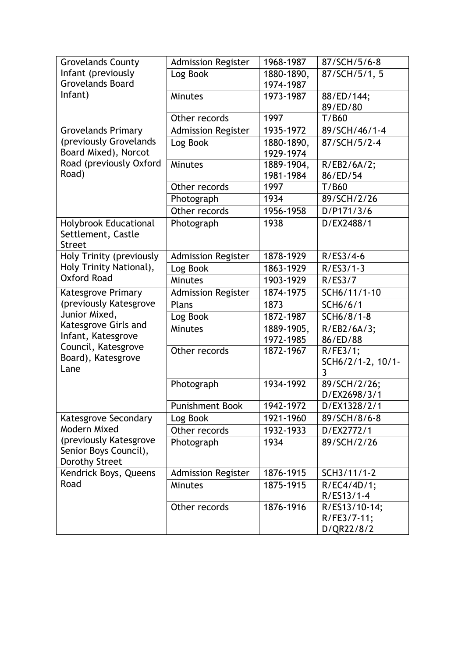| <b>Grovelands County</b>     | <b>Admission Register</b> | 1968-1987  | 87/SCH/5/6-8                |
|------------------------------|---------------------------|------------|-----------------------------|
| Infant (previously           | Log Book                  | 1880-1890, | 87/SCH/5/1, 5               |
| <b>Grovelands Board</b>      |                           | 1974-1987  |                             |
| Infant)                      | <b>Minutes</b>            | 1973-1987  | 88/ED/144;                  |
|                              |                           |            | 89/ED/80                    |
|                              | Other records             | 1997       | T/B60                       |
| <b>Grovelands Primary</b>    | <b>Admission Register</b> | 1935-1972  | 89/SCH/46/1-4               |
| (previously Grovelands       | Log Book                  | 1880-1890, | 87/SCH/5/2-4                |
| Board Mixed), Norcot         |                           | 1929-1974  |                             |
| Road (previously Oxford      | Minutes                   | 1889-1904, | R/EB2/6A/2;                 |
| Road)                        |                           | 1981-1984  | 86/ED/54                    |
|                              | Other records             | 1997       | T/B60                       |
|                              | Photograph                | 1934       | 89/SCH/2/26                 |
|                              | Other records             | 1956-1958  | D/P171/3/6                  |
| <b>Holybrook Educational</b> | Photograph                | 1938       | D/EX2488/1                  |
| Settlement, Castle           |                           |            |                             |
| <b>Street</b>                |                           |            |                             |
| Holy Trinity (previously     | <b>Admission Register</b> | 1878-1929  | $R/ES3/4-6$                 |
| Holy Trinity National),      | Log Book                  | 1863-1929  | $R/ES3/1-3$                 |
| <b>Oxford Road</b>           | Minutes                   | 1903-1929  | R/ES3/7                     |
| Katesgrove Primary           | <b>Admission Register</b> | 1874-1975  | SCH6/11/1-10                |
| (previously Katesgrove       | Plans                     | 1873       | SCH6/6/1                    |
| Junior Mixed,                | Log Book                  | 1872-1987  | SCH6/8/1-8                  |
| Katesgrove Girls and         | <b>Minutes</b>            | 1889-1905, | R/EB2/6A/3;                 |
| Infant, Katesgrove           |                           | 1972-1985  | 86/ED/88                    |
| Council, Katesgrove          | Other records             | 1872-1967  | R/FE3/1;                    |
| Board), Katesgrove           |                           |            | SCH6/2/1-2, 10/1-           |
| Lane                         |                           |            | 3                           |
|                              | Photograph                | 1934-1992  | 89/SCH/2/26;                |
|                              |                           |            | D/EX2698/3/1                |
|                              | <b>Punishment Book</b>    | 1942-1972  | D/EX1328/2/1                |
| Katesgrove Secondary         | Log Book                  | 1921-1960  | 89/SCH/8/6-8                |
| Modern Mixed                 | Other records             | 1932-1933  | D/EX2772/1                  |
| (previously Katesgrove       | Photograph                | 1934       | 89/SCH/2/26                 |
| Senior Boys Council),        |                           |            |                             |
| <b>Dorothy Street</b>        |                           |            |                             |
| Kendrick Boys, Queens        | <b>Admission Register</b> | 1876-1915  | SCH3/11/1-2                 |
| Road                         | Minutes                   | 1875-1915  | R/EC4/4D/1;                 |
|                              |                           | 1876-1916  | R/ES13/1-4<br>R/ES13/10-14; |
|                              | Other records             |            | R/FE3/7-11;                 |
|                              |                           |            | D/QR22/8/2                  |
|                              |                           |            |                             |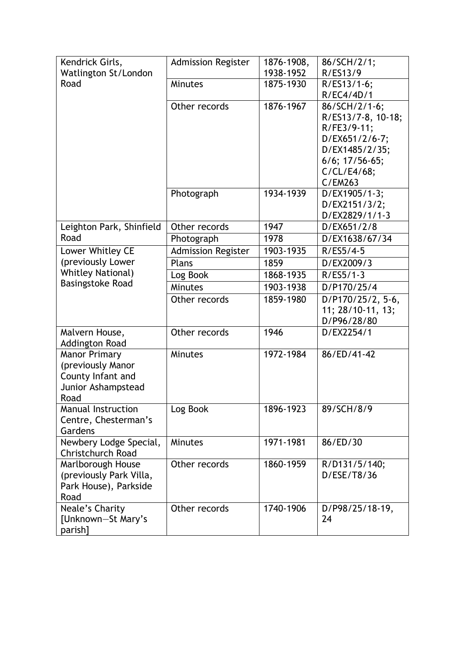| Kendrick Girls,               | <b>Admission Register</b> | 1876-1908, | 86/SCH/2/1;          |
|-------------------------------|---------------------------|------------|----------------------|
| Watlington St/London          |                           | 1938-1952  | R/ES13/9             |
| Road                          | <b>Minutes</b>            | 1875-1930  | R/ES13/1-6;          |
|                               |                           |            | R/EC4/4D/1           |
|                               | Other records             | 1876-1967  | 86/SCH/2/1-6;        |
|                               |                           |            | R/ES13/7-8, 10-18;   |
|                               |                           |            | R/FE3/9-11;          |
|                               |                           |            | D/EX651/2/6-7;       |
|                               |                           |            | D/EX1485/2/35;       |
|                               |                           |            | $6/6$ ; $17/56-65$ ; |
|                               |                           |            | C/CL/E4/68;          |
|                               |                           |            | C/EM263              |
|                               | Photograph                | 1934-1939  | D/EX1905/1-3;        |
|                               |                           |            | D/EX2151/3/2;        |
|                               |                           |            | D/EX2829/1/1-3       |
| Leighton Park, Shinfield      | Other records             | 1947       | D/EX651/2/8          |
| Road                          | Photograph                | 1978       | D/EX1638/67/34       |
| Lower Whitley CE              | <b>Admission Register</b> | 1903-1935  | $R/ES5/4-5$          |
| (previously Lower             | Plans                     | 1859       | D/EX2009/3           |
| <b>Whitley National)</b>      | Log Book                  | 1868-1935  | $R/ES5/1-3$          |
| <b>Basingstoke Road</b>       | <b>Minutes</b>            | 1903-1938  | D/P170/25/4          |
|                               | Other records             | 1859-1980  | D/P170/25/2, 5-6,    |
|                               |                           |            | 11; 28/10-11, 13;    |
|                               |                           |            | D/P96/28/80          |
| Malvern House,                | Other records             | 1946       | D/EX2254/1           |
| <b>Addington Road</b>         |                           |            |                      |
| <b>Manor Primary</b>          | <b>Minutes</b>            | 1972-1984  | 86/ED/41-42          |
| (previously Manor             |                           |            |                      |
| County Infant and             |                           |            |                      |
| Junior Ashampstead            |                           |            |                      |
| Road                          |                           |            |                      |
| <b>Manual Instruction</b>     | Log Book                  | 1896-1923  | 89/SCH/8/9           |
| Centre, Chesterman's          |                           |            |                      |
| Gardens                       |                           |            |                      |
| Newbery Lodge Special,        | <b>Minutes</b>            | 1971-1981  | 86/ED/30             |
| <b>Christchurch Road</b>      |                           |            |                      |
| Marlborough House             | Other records             | 1860-1959  | R/D131/5/140;        |
| (previously Park Villa,       |                           |            | D/ESE/T8/36          |
| Park House), Parkside<br>Road |                           |            |                      |
| Neale's Charity               | Other records             | 1740-1906  | D/P98/25/18-19,      |
| [Unknown-St Mary's            |                           |            | 24                   |
| parish]                       |                           |            |                      |
|                               |                           |            |                      |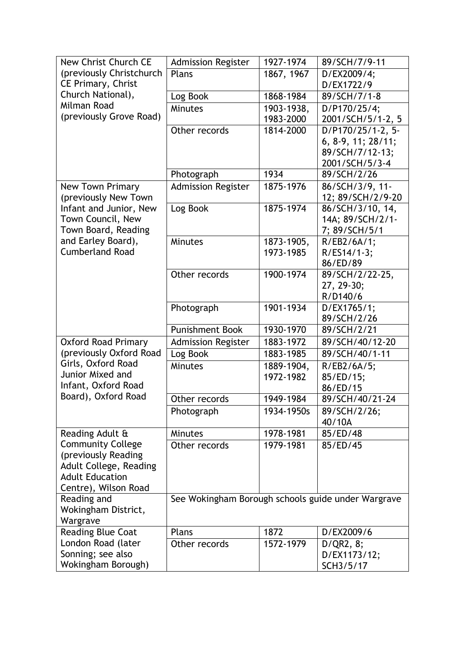| New Christ Church CE                             | <b>Admission Register</b>                          | 1927-1974  | 89/SCH/7/9-11                        |
|--------------------------------------------------|----------------------------------------------------|------------|--------------------------------------|
| (previously Christchurch                         | Plans                                              | 1867, 1967 | D/EX2009/4;                          |
| <b>CE Primary, Christ</b>                        |                                                    |            | D/EX1722/9                           |
| Church National),                                | Log Book                                           | 1868-1984  | 89/SCH/7/1-8                         |
| Milman Road                                      | Minutes                                            | 1903-1938, | D/P170/25/4;                         |
| (previously Grove Road)                          |                                                    | 1983-2000  | 2001/SCH/5/1-2, 5                    |
|                                                  | Other records                                      | 1814-2000  | D/P170/25/1-2, 5-                    |
|                                                  |                                                    |            | 6, 8-9, 11; 28/11;                   |
|                                                  |                                                    |            | 89/SCH/7/12-13;                      |
|                                                  |                                                    |            | 2001/SCH/5/3-4                       |
|                                                  | Photograph                                         | 1934       | 89/SCH/2/26                          |
| <b>New Town Primary</b>                          | <b>Admission Register</b>                          | 1875-1976  | 86/SCH/3/9, 11-                      |
| (previously New Town                             |                                                    | 1875-1974  | 12; 89/SCH/2/9-20                    |
| Infant and Junior, New<br>Town Council, New      | Log Book                                           |            | 86/SCH/3/10, 14,<br>14A; 89/SCH/2/1- |
| Town Board, Reading                              |                                                    |            | 7; 89/SCH/5/1                        |
| and Earley Board),                               | Minutes                                            | 1873-1905, | R/EB2/6A/1;                          |
| <b>Cumberland Road</b>                           |                                                    | 1973-1985  | R/ES14/1-3;                          |
|                                                  |                                                    |            | 86/ED/89                             |
|                                                  | Other records                                      | 1900-1974  | 89/SCH/2/22-25,                      |
|                                                  |                                                    |            | 27, 29-30;                           |
|                                                  |                                                    |            | R/D140/6                             |
|                                                  | Photograph                                         | 1901-1934  | D/EX1765/1;                          |
|                                                  |                                                    |            | 89/SCH/2/26                          |
|                                                  | <b>Punishment Book</b>                             | 1930-1970  | 89/SCH/2/21                          |
| <b>Oxford Road Primary</b>                       | <b>Admission Register</b>                          | 1883-1972  | 89/SCH/40/12-20                      |
| (previously Oxford Road                          | Log Book                                           | 1883-1985  | 89/SCH/40/1-11                       |
| Girls, Oxford Road                               | Minutes                                            | 1889-1904, | R/EB2/6A/5;                          |
| Junior Mixed and                                 |                                                    | 1972-1982  | 85/ED/15;                            |
| Infant, Oxford Road                              |                                                    |            | 86/ED/15                             |
| Board), Oxford Road                              | Other records                                      | 1949-1984  | 89/SCH/40/21-24                      |
|                                                  | Photograph                                         | 1934-1950s | 89/SCH/2/26;                         |
|                                                  |                                                    |            | 40/10A                               |
| Reading Adult &                                  | <b>Minutes</b>                                     | 1978-1981  | 85/ED/48                             |
| <b>Community College</b>                         | Other records                                      | 1979-1981  | 85/ED/45                             |
| (previously Reading                              |                                                    |            |                                      |
| Adult College, Reading<br><b>Adult Education</b> |                                                    |            |                                      |
| Centre), Wilson Road                             |                                                    |            |                                      |
| Reading and                                      | See Wokingham Borough schools guide under Wargrave |            |                                      |
| Wokingham District,                              |                                                    |            |                                      |
| Wargrave                                         |                                                    |            |                                      |
| <b>Reading Blue Coat</b>                         | Plans                                              | 1872       | D/EX2009/6                           |
| London Road (later                               | Other records                                      | 1572-1979  | D/QR2, 8;                            |
| Sonning; see also                                |                                                    |            | D/EX1173/12;                         |
| Wokingham Borough)                               |                                                    |            | SCH3/5/17                            |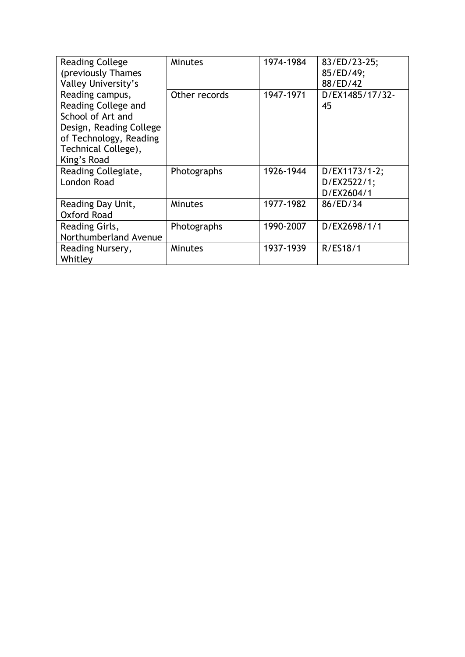| <b>Reading College</b>                                                                                                                                 | <b>Minutes</b> | 1974-1984 | 83/ED/23-25;<br>85/ED/49;                  |
|--------------------------------------------------------------------------------------------------------------------------------------------------------|----------------|-----------|--------------------------------------------|
| (previously Thames<br>Valley University's                                                                                                              |                |           | 88/ED/42                                   |
| Reading campus,<br>Reading College and<br>School of Art and<br>Design, Reading College<br>of Technology, Reading<br>Technical College),<br>King's Road | Other records  | 1947-1971 | D/EX1485/17/32-<br>45                      |
| Reading Collegiate,<br><b>London Road</b>                                                                                                              | Photographs    | 1926-1944 | D/EX1173/1-2;<br>D/EX2522/1;<br>D/EX2604/1 |
| Reading Day Unit,<br><b>Oxford Road</b>                                                                                                                | <b>Minutes</b> | 1977-1982 | 86/ED/34                                   |
| Reading Girls,<br>Northumberland Avenue                                                                                                                | Photographs    | 1990-2007 | D/EX2698/1/1                               |
| Reading Nursery,<br>Whitley                                                                                                                            | <b>Minutes</b> | 1937-1939 | R/ES18/1                                   |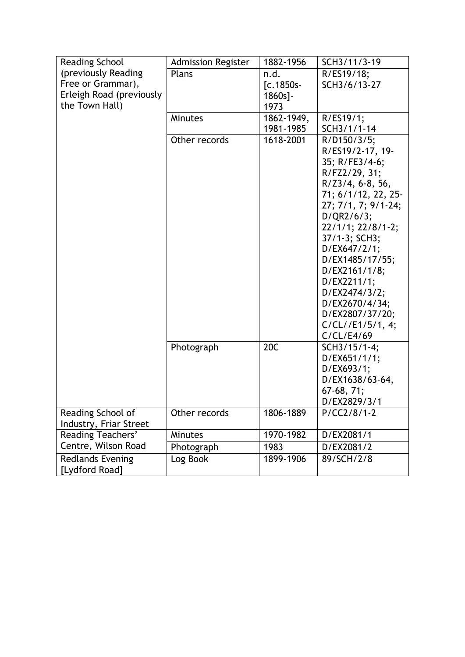| <b>Reading School</b>                     | <b>Admission Register</b> | 1882-1956          | SCH3/11/3-19                 |
|-------------------------------------------|---------------------------|--------------------|------------------------------|
| (previously Reading<br>Free or Grammar),  | Plans                     | n.d.               | R/ES19/18;                   |
| Erleigh Road (previously                  |                           | $[c.1850s -$       | SCH3/6/13-27                 |
| the Town Hall)                            |                           | $1860s$ ]-<br>1973 |                              |
|                                           | <b>Minutes</b>            | 1862-1949,         | R/ES19/1;                    |
|                                           |                           | 1981-1985          | SCH3/1/1-14                  |
|                                           | Other records             | 1618-2001          | $R/D150/3/5$ ;               |
|                                           |                           |                    | R/ES19/2-17, 19-             |
|                                           |                           |                    | 35; R/FE3/4-6;               |
|                                           |                           |                    | R/FZ2/29, 31;                |
|                                           |                           |                    | $R/Z3/4, 6-8, 56,$           |
|                                           |                           |                    | 71; 6/1/12, 22, 25-          |
|                                           |                           |                    | 27; 7/1, 7; 9/1-24;          |
|                                           |                           |                    | D/QR2/6/3;                   |
|                                           |                           |                    | 22/1/1; 22/8/1-2;            |
|                                           |                           |                    | 37/1-3; SCH3;                |
|                                           |                           |                    | D/EX647/2/1;                 |
|                                           |                           |                    | D/EX1485/17/55;              |
|                                           |                           |                    | D/EX2161/1/8;                |
|                                           |                           |                    | D/EX2211/1;                  |
|                                           |                           |                    | D/EX2474/3/2;                |
|                                           |                           |                    | D/EX2670/4/34;               |
|                                           |                           |                    | D/EX2807/37/20;              |
|                                           |                           |                    | C/CL//E1/5/1, 4;             |
|                                           |                           |                    | C/CL/E4/69                   |
|                                           | Photograph                | 20C                | SCH3/15/1-4;                 |
|                                           |                           |                    | D/EX651/1/1;                 |
|                                           |                           |                    | D/EX693/1;                   |
|                                           |                           |                    | D/EX1638/63-64,              |
|                                           |                           |                    | $67-68, 71;$<br>D/EX2829/3/1 |
| Reading School of                         | Other records             | 1806-1889          | $P/CC2/8/1-2$                |
| Industry, Friar Street                    |                           |                    |                              |
| <b>Reading Teachers'</b>                  | <b>Minutes</b>            | 1970-1982          | D/EX2081/1                   |
| Centre, Wilson Road                       | Photograph                | 1983               | D/EX2081/2                   |
| <b>Redlands Evening</b><br>[Lydford Road] | Log Book                  | 1899-1906          | 89/SCH/2/8                   |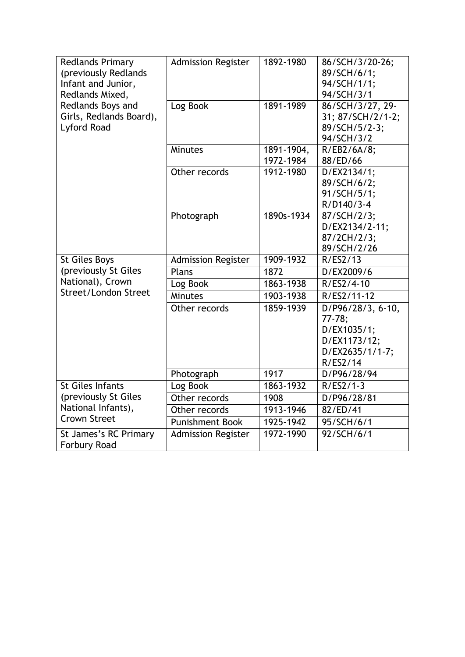| <b>Redlands Primary</b><br>(previously Redlands<br>Infant and Junior,<br>Redlands Mixed, | <b>Admission Register</b> | 1892-1980               | 86/SCH/3/20-26;<br>89/SCH/6/1;<br>94/SCH/1/1;<br>94/SCH/3/1                                 |
|------------------------------------------------------------------------------------------|---------------------------|-------------------------|---------------------------------------------------------------------------------------------|
| Redlands Boys and<br>Girls, Redlands Board),<br>Lyford Road                              | Log Book                  | 1891-1989               | 86/SCH/3/27, 29-<br>31; 87/SCH/2/1-2;<br>89/SCH/5/2-3;                                      |
|                                                                                          | <b>Minutes</b>            | 1891-1904,<br>1972-1984 | 94/SCH/3/2<br>R/EB2/6A/8;<br>88/ED/66                                                       |
|                                                                                          | Other records             | 1912-1980               | D/EX2134/1;<br>89/SCH/6/2;<br>91/SCH/5/1;<br>R/D140/3-4                                     |
|                                                                                          | Photograph                | 1890s-1934              | 87/SCH/2/3;<br>D/EX2134/2-11;<br>87/2CH/2/3;<br>89/SCH/2/26                                 |
| <b>St Giles Boys</b>                                                                     | <b>Admission Register</b> | 1909-1932               | R/ES2/13                                                                                    |
| (previously St Giles                                                                     | Plans                     | 1872                    | D/EX2009/6                                                                                  |
| National), Crown                                                                         | Log Book                  | 1863-1938               | R/ES2/4-10                                                                                  |
| Street/London Street                                                                     | Minutes                   | 1903-1938               | R/ES2/11-12                                                                                 |
|                                                                                          | Other records             | 1859-1939               | D/P96/28/3, 6-10,<br>$77-78;$<br>D/EX1035/1;<br>D/EX1173/12;<br>D/EX2635/1/1-7;<br>R/ES2/14 |
|                                                                                          | Photograph                | 1917                    | D/P96/28/94                                                                                 |
| <b>St Giles Infants</b>                                                                  | Log Book                  | 1863-1932               | $R/ES2/1-3$                                                                                 |
| (previously St Giles                                                                     | Other records             | 1908                    | D/P96/28/81                                                                                 |
| National Infants),                                                                       | Other records             | 1913-1946               | 82/ED/41                                                                                    |
| <b>Crown Street</b>                                                                      | <b>Punishment Book</b>    | 1925-1942               | 95/SCH/6/1                                                                                  |
| St James's RC Primary                                                                    | <b>Admission Register</b> | 1972-1990               | 92/SCH/6/1                                                                                  |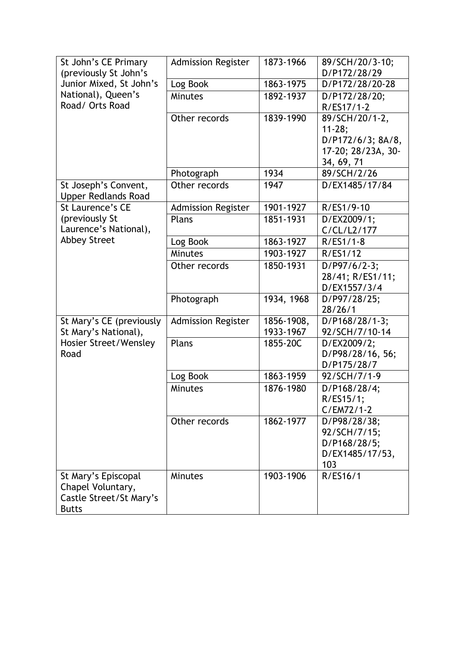| St John's CE Primary                               | <b>Admission Register</b> | 1873-1966  | 89/SCH/20/3-10;    |
|----------------------------------------------------|---------------------------|------------|--------------------|
| (previously St John's                              |                           |            | D/P172/28/29       |
| Junior Mixed, St John's                            | Log Book                  | 1863-1975  | D/P172/28/20-28    |
| National), Queen's                                 | <b>Minutes</b>            | 1892-1937  | D/P172/28/20;      |
| Road/ Orts Road                                    |                           |            | R/ES17/1-2         |
|                                                    | Other records             | 1839-1990  | 89/SCH/20/1-2,     |
|                                                    |                           |            | $11 - 28;$         |
|                                                    |                           |            | D/P172/6/3; 8A/8,  |
|                                                    |                           |            | 17-20; 28/23A, 30- |
|                                                    |                           |            | 34, 69, 71         |
|                                                    | Photograph                | 1934       | 89/SCH/2/26        |
| St Joseph's Convent,<br><b>Upper Redlands Road</b> | Other records             | 1947       | D/EX1485/17/84     |
| St Laurence's CE                                   | <b>Admission Register</b> | 1901-1927  | R/ES1/9-10         |
| (previously St                                     | Plans                     | 1851-1931  | D/EX2009/1;        |
| Laurence's National),                              |                           |            | C/CL/L2/177        |
| <b>Abbey Street</b>                                | Log Book                  | 1863-1927  | $R/ES1/1-8$        |
|                                                    | <b>Minutes</b>            | 1903-1927  | R/ES1/12           |
|                                                    | Other records             | 1850-1931  | D/P97/6/2-3;       |
|                                                    |                           |            | 28/41; R/ES1/11;   |
|                                                    |                           |            | D/EX1557/3/4       |
|                                                    | Photograph                | 1934, 1968 | D/P97/28/25;       |
|                                                    |                           |            | 28/26/1            |
| St Mary's CE (previously                           | <b>Admission Register</b> | 1856-1908, | D/P168/28/1-3;     |
| St Mary's National),                               |                           | 1933-1967  | 92/SCH/7/10-14     |
| Hosier Street/Wensley                              | Plans                     | 1855-20C   | D/EX2009/2;        |
| Road                                               |                           |            | D/P98/28/16, 56;   |
|                                                    |                           |            | D/P175/28/7        |
|                                                    | Log Book                  | 1863-1959  | 92/SCH/7/1-9       |
|                                                    | Minutes                   | 1876-1980  | D/P168/28/4;       |
|                                                    |                           |            | R/ES15/1;          |
|                                                    |                           |            | $C/EM72/1-2$       |
|                                                    | Other records             | 1862-1977  | D/P98/28/38;       |
|                                                    |                           |            | 92/SCH/7/15;       |
|                                                    |                           |            | D/P168/28/5;       |
|                                                    |                           |            | D/EX1485/17/53,    |
|                                                    |                           |            | 103                |
| St Mary's Episcopal                                | <b>Minutes</b>            | 1903-1906  | R/ES16/1           |
| Chapel Voluntary,<br>Castle Street/St Mary's       |                           |            |                    |
| <b>Butts</b>                                       |                           |            |                    |
|                                                    |                           |            |                    |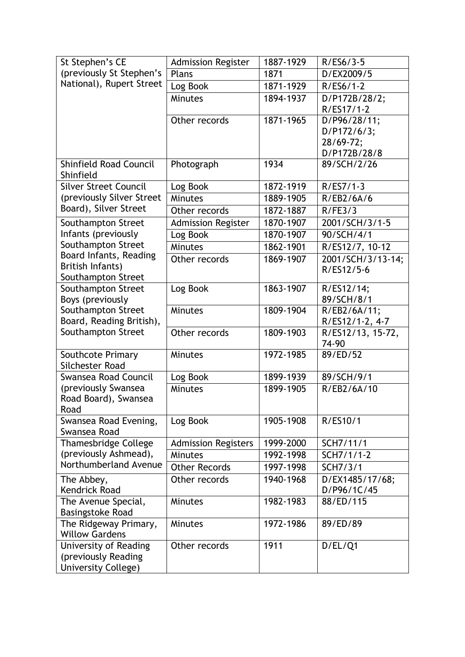| St Stephen's CE                            | <b>Admission Register</b>  | 1887-1929 | $R/ES6/3-5$              |
|--------------------------------------------|----------------------------|-----------|--------------------------|
| (previously St Stephen's                   | Plans                      | 1871      | D/EX2009/5               |
| National), Rupert Street                   | Log Book                   | 1871-1929 | $R/ES6/1-2$              |
|                                            | <b>Minutes</b>             | 1894-1937 | D/P172B/28/2;            |
|                                            |                            |           | R/ES17/1-2               |
|                                            | Other records              | 1871-1965 | D/P96/28/11;             |
|                                            |                            |           | D/P172/6/3;              |
|                                            |                            |           | 28/69-72;                |
|                                            |                            |           | D/P172B/28/8             |
| <b>Shinfield Road Council</b><br>Shinfield | Photograph                 | 1934      | 89/SCH/2/26              |
| <b>Silver Street Council</b>               | Log Book                   | 1872-1919 | $R/ESZ/1-3$              |
| (previously Silver Street                  | <b>Minutes</b>             | 1889-1905 | R/EB2/6A/6               |
| Board), Silver Street                      | Other records              | 1872-1887 | R/FE3/3                  |
| Southampton Street                         | <b>Admission Register</b>  | 1870-1907 | 2001/SCH/3/1-5           |
| Infants (previously                        | Log Book                   | 1870-1907 | 90/SCH/4/1               |
| Southampton Street                         | <b>Minutes</b>             | 1862-1901 | R/ES12/7, 10-12          |
| Board Infants, Reading                     | Other records              | 1869-1907 | 2001/SCH/3/13-14;        |
| British Infants)                           |                            |           | R/ES12/5-6               |
| Southampton Street                         |                            | 1863-1907 |                          |
| Southampton Street<br>Boys (previously     | Log Book                   |           | R/ES12/14;<br>89/SCH/8/1 |
| Southampton Street                         | Minutes                    | 1809-1904 | R/EB2/6A/11;             |
| Board, Reading British),                   |                            |           | R/ES12/1-2, 4-7          |
| Southampton Street                         | Other records              | 1809-1903 | R/ES12/13, 15-72,        |
|                                            |                            |           | 74-90                    |
| Southcote Primary                          | Minutes                    | 1972-1985 | 89/ED/52                 |
| Silchester Road                            |                            |           |                          |
| Swansea Road Council                       | Log Book                   | 1899-1939 | 89/SCH/9/1               |
| (previously Swansea                        | <b>Minutes</b>             | 1899-1905 | R/EB2/6A/10              |
| Road Board), Swansea                       |                            |           |                          |
| Road                                       |                            |           |                          |
| Swansea Road Evening,                      | Log Book                   | 1905-1908 | R/ES10/1                 |
| Swansea Road                               |                            |           |                          |
| <b>Thamesbridge College</b>                | <b>Admission Registers</b> | 1999-2000 | SCH7/11/1                |
| (previously Ashmead),                      | <b>Minutes</b>             | 1992-1998 | SCH7/1/1-2               |
| Northumberland Avenue                      | <b>Other Records</b>       | 1997-1998 | SCH7/3/1                 |
| The Abbey,                                 | Other records              | 1940-1968 | D/EX1485/17/68;          |
| <b>Kendrick Road</b>                       |                            |           | D/P96/1C/45              |
| The Avenue Special,                        | Minutes                    | 1982-1983 | 88/ED/115                |
| <b>Basingstoke Road</b>                    |                            |           |                          |
| The Ridgeway Primary,                      | Minutes                    | 1972-1986 | 89/ED/89                 |
| <b>Willow Gardens</b>                      |                            |           |                          |
| University of Reading                      | Other records              | 1911      | D/EL/Q1                  |
| (previously Reading<br>University College) |                            |           |                          |
|                                            |                            |           |                          |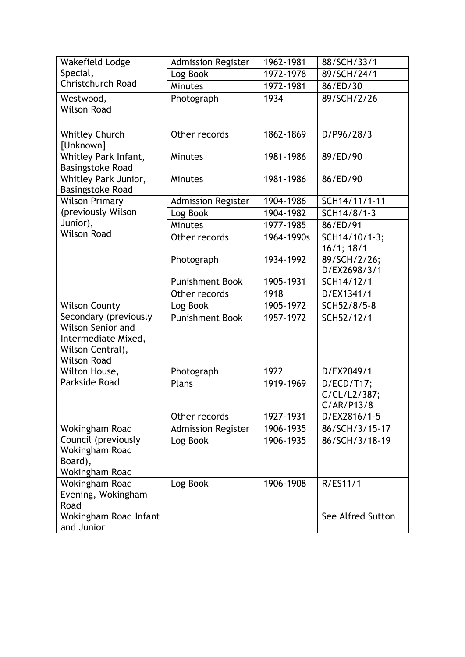| Wakefield Lodge                                                                                             | <b>Admission Register</b> | 1962-1981  | 88/SCH/33/1                              |
|-------------------------------------------------------------------------------------------------------------|---------------------------|------------|------------------------------------------|
| Special,                                                                                                    | Log Book                  | 1972-1978  | 89/SCH/24/1                              |
| <b>Christchurch Road</b>                                                                                    | Minutes                   | 1972-1981  | 86/ED/30                                 |
| Westwood,<br><b>Wilson Road</b>                                                                             | Photograph                | 1934       | 89/SCH/2/26                              |
| <b>Whitley Church</b><br>[Unknown]                                                                          | Other records             | 1862-1869  | D/P96/28/3                               |
| Whitley Park Infant,<br><b>Basingstoke Road</b>                                                             | <b>Minutes</b>            | 1981-1986  | 89/ED/90                                 |
| Whitley Park Junior,<br><b>Basingstoke Road</b>                                                             | <b>Minutes</b>            | 1981-1986  | 86/ED/90                                 |
| <b>Wilson Primary</b>                                                                                       | <b>Admission Register</b> | 1904-1986  | SCH14/11/1-11                            |
| (previously Wilson                                                                                          | Log Book                  | 1904-1982  | SCH14/8/1-3                              |
| Junior),                                                                                                    | Minutes                   | 1977-1985  | 86/ED/91                                 |
| <b>Wilson Road</b>                                                                                          | Other records             | 1964-1990s | SCH14/10/1-3;<br>$16/1$ ; $18/1$         |
|                                                                                                             | Photograph                | 1934-1992  | 89/SCH/2/26;<br>D/EX2698/3/1             |
|                                                                                                             | <b>Punishment Book</b>    | 1905-1931  | SCH14/12/1                               |
|                                                                                                             | Other records             | 1918       | D/EX1341/1                               |
| <b>Wilson County</b>                                                                                        | Log Book                  | 1905-1972  | SCH52/8/5-8                              |
| Secondary (previously<br>Wilson Senior and<br>Intermediate Mixed,<br>Wilson Central),<br><b>Wilson Road</b> | <b>Punishment Book</b>    | 1957-1972  | SCH52/12/1                               |
| Wilton House,                                                                                               | Photograph                | 1922       | D/EX2049/1                               |
| Parkside Road                                                                                               | Plans                     | 1919-1969  | D/ECD/T17;<br>C/CL/L2/387;<br>C/AR/P13/8 |
|                                                                                                             | Other records             | 1927-1931  | D/EX2816/1-5                             |
| Wokingham Road                                                                                              | <b>Admission Register</b> | 1906-1935  | 86/SCH/3/15-17                           |
| Council (previously<br>Wokingham Road<br>Board),<br>Wokingham Road                                          | Log Book                  | 1906-1935  | 86/SCH/3/18-19                           |
| Wokingham Road<br>Evening, Wokingham<br>Road                                                                | Log Book                  | 1906-1908  | R/ES11/1                                 |
| Wokingham Road Infant<br>and Junior                                                                         |                           |            | See Alfred Sutton                        |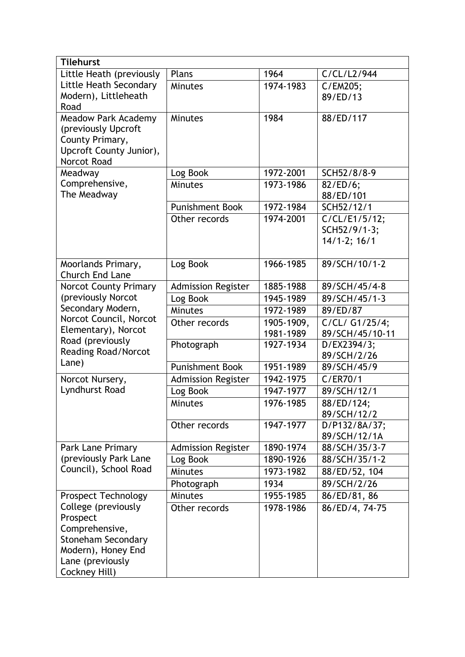| <b>Tilehurst</b>                               |                           |            |                       |
|------------------------------------------------|---------------------------|------------|-----------------------|
| Little Heath (previously                       | Plans                     | 1964       | C/CL/L2/944           |
| Little Heath Secondary                         | <b>Minutes</b>            | 1974-1983  | C/EM205;              |
| Modern), Littleheath                           |                           |            | 89/ED/13              |
| Road                                           |                           |            |                       |
| <b>Meadow Park Academy</b>                     | <b>Minutes</b>            | 1984       | 88/ED/117             |
| (previously Upcroft                            |                           |            |                       |
| County Primary,                                |                           |            |                       |
| Upcroft County Junior),                        |                           |            |                       |
| Norcot Road                                    |                           | 1972-2001  |                       |
| Meadway<br>Comprehensive,<br>The Meadway       | Log Book                  |            | SCH52/8/8-9           |
|                                                | <b>Minutes</b>            | 1973-1986  | 82/ED/6;<br>88/ED/101 |
|                                                | <b>Punishment Book</b>    | 1972-1984  | SCH52/12/1            |
|                                                | Other records             | 1974-2001  | C/CL/E1/5/12;         |
|                                                |                           |            | SCH52/9/1-3;          |
|                                                |                           |            | 14/1-2; 16/1          |
|                                                |                           |            |                       |
| Moorlands Primary,                             | Log Book                  | 1966-1985  | 89/SCH/10/1-2         |
| <b>Church End Lane</b>                         |                           |            |                       |
| <b>Norcot County Primary</b>                   | <b>Admission Register</b> | 1885-1988  | 89/SCH/45/4-8         |
| (previously Norcot                             | Log Book                  | 1945-1989  | 89/SCH/45/1-3         |
| Secondary Modern,                              | <b>Minutes</b>            | 1972-1989  | 89/ED/87              |
| Norcot Council, Norcot                         | Other records             | 1905-1909, | C/CL/ G1/25/4;        |
| Elementary), Norcot                            |                           | 1981-1989  | 89/SCH/45/10-11       |
| Road (previously                               | Photograph                | 1927-1934  | D/EX2394/3;           |
| <b>Reading Road/Norcot</b>                     |                           |            | 89/SCH/2/26           |
| Lane)                                          | <b>Punishment Book</b>    | 1951-1989  | 89/SCH/45/9           |
| Norcot Nursery,                                | <b>Admission Register</b> | 1942-1975  | C/ER70/1              |
| Lyndhurst Road                                 | Log Book                  | 1947-1977  | 89/SCH/12/1           |
|                                                | Minutes                   | 1976-1985  | 88/ED/124;            |
|                                                |                           |            | 89/SCH/12/2           |
|                                                | Other records             | 1947-1977  | D/P132/8A/37;         |
|                                                |                           |            | 89/SCH/12/1A          |
| Park Lane Primary                              | <b>Admission Register</b> | 1890-1974  | 88/SCH/35/3-7         |
| (previously Park Lane<br>Council), School Road | Log Book                  | 1890-1926  | 88/SCH/35/1-2         |
|                                                | <b>Minutes</b>            | 1973-1982  | 88/ED/52, 104         |
|                                                | Photograph                | 1934       | 89/SCH/2/26           |
| <b>Prospect Technology</b>                     | <b>Minutes</b>            | 1955-1985  | 86/ED/81, 86          |
| College (previously                            | Other records             | 1978-1986  | 86/ED/4, 74-75        |
| Prospect                                       |                           |            |                       |
| Comprehensive,                                 |                           |            |                       |
| <b>Stoneham Secondary</b>                      |                           |            |                       |
| Modern), Honey End                             |                           |            |                       |
| Lane (previously                               |                           |            |                       |
| Cockney Hill)                                  |                           |            |                       |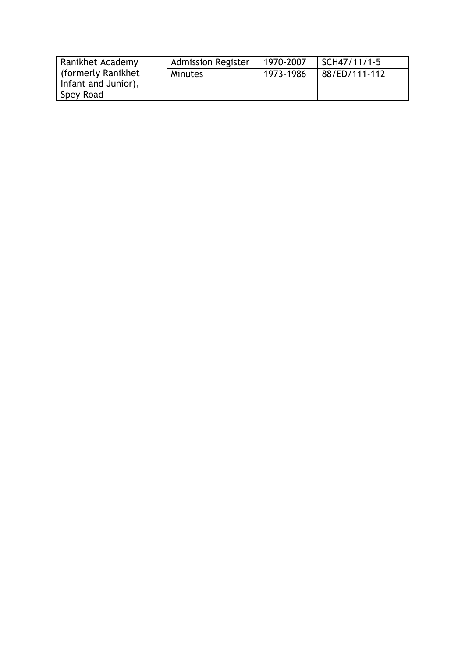| Ranikhet Academy                             | <b>Admission Register</b> | 1970-2007 | SCH47/11/1-5     |
|----------------------------------------------|---------------------------|-----------|------------------|
| l (formerly Ranikhet)<br>Infant and Junior), | Minutes                   | 1973-1986 | $188/ED/111-112$ |
| Spey Road                                    |                           |           |                  |